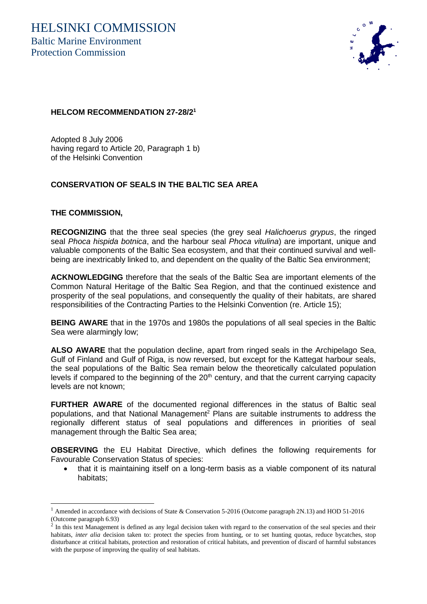

## **HELCOM RECOMMENDATION 27-28/2<sup>1</sup>**

Adopted 8 July 2006 having regard to Article 20, Paragraph 1 b) of the Helsinki Convention

## **CONSERVATION OF SEALS IN THE BALTIC SEA AREA**

## **THE COMMISSION,**

**RECOGNIZING** that the three seal species (the grey seal *Halichoerus grypus*, the ringed seal *Phoca hispida botnica*, and the harbour seal *Phoca vitulina*) are important, unique and valuable components of the Baltic Sea ecosystem, and that their continued survival and wellbeing are inextricably linked to, and dependent on the quality of the Baltic Sea environment;

**ACKNOWLEDGING** therefore that the seals of the Baltic Sea are important elements of the Common Natural Heritage of the Baltic Sea Region, and that the continued existence and prosperity of the seal populations, and consequently the quality of their habitats, are shared responsibilities of the Contracting Parties to the Helsinki Convention (re. Article 15);

**BEING AWARE** that in the 1970s and 1980s the populations of all seal species in the Baltic Sea were alarmingly low;

**ALSO AWARE** that the population decline, apart from ringed seals in the Archipelago Sea, Gulf of Finland and Gulf of Riga, is now reversed, but except for the Kattegat harbour seals, the seal populations of the Baltic Sea remain below the theoretically calculated population levels if compared to the beginning of the  $20<sup>th</sup>$  century, and that the current carrying capacity levels are not known;

**FURTHER AWARE** of the documented regional differences in the status of Baltic seal populations, and that National Management<sup>2</sup> Plans are suitable instruments to address the regionally different status of seal populations and differences in priorities of seal management through the Baltic Sea area;

**OBSERVING** the EU Habitat Directive, which defines the following requirements for Favourable Conservation Status of species:

 that it is maintaining itself on a long-term basis as a viable component of its natural habitats;

<sup>&</sup>lt;sup>1</sup> Amended in accordance with decisions of State & Conservation 5-2016 (Outcome paragraph 2N.13) and HOD 51-2016 (Outcome paragraph 6.93)

 $2$  In this text Management is defined as any legal decision taken with regard to the conservation of the seal species and their habitats, *inter alia* decision taken to: protect the species from hunting, or to set hunting quotas, reduce bycatches, stop disturbance at critical habitats, protection and restoration of critical habitats, and prevention of discard of harmful substances with the purpose of improving the quality of seal habitats.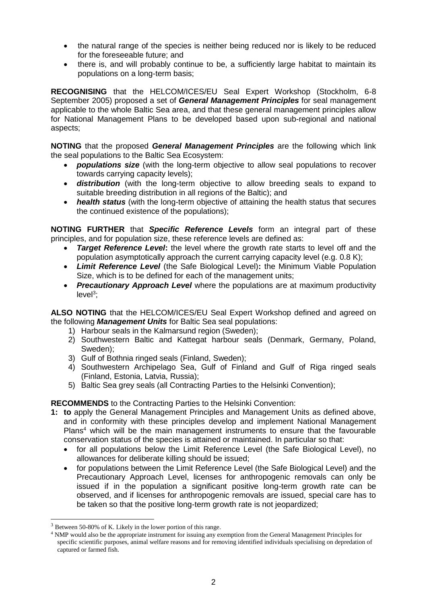- the natural range of the species is neither being reduced nor is likely to be reduced for the foreseeable future; and
- there is, and will probably continue to be, a sufficiently large habitat to maintain its populations on a long-term basis;

**RECOGNISING** that the HELCOM/ICES/EU Seal Expert Workshop (Stockholm, 6-8 September 2005) proposed a set of *General Management Principles* for seal management applicable to the whole Baltic Sea area, and that these general management principles allow for National Management Plans to be developed based upon sub-regional and national aspects;

**NOTING** that the proposed *General Management Principles* are the following which link the seal populations to the Baltic Sea Ecosystem:

- *populations size* (with the long-term objective to allow seal populations to recover towards carrying capacity levels);
- *distribution* (with the long-term objective to allow breeding seals to expand to suitable breeding distribution in all regions of the Baltic); and
- *health status* (with the long-term objective of attaining the health status that secures the continued existence of the populations);

**NOTING FURTHER** that *Specific Reference Levels* form an integral part of these principles, and for population size, these reference levels are defined as:

- *Target Reference Level*: the level where the growth rate starts to level off and the population asymptotically approach the current carrying capacity level (e.g. 0.8 K);
- *Limit Reference Level* (the Safe Biological Level)**:** the Minimum Viable Population Size, which is to be defined for each of the management units;
- *Precautionary Approach Level* where the populations are at maximum productivity level<sup>3</sup>;

**ALSO NOTING** that the HELCOM/ICES/EU Seal Expert Workshop defined and agreed on the following *Management Units* for Baltic Sea seal populations:

- 1) Harbour seals in the Kalmarsund region (Sweden);
- 2) Southwestern Baltic and Kattegat harbour seals (Denmark, Germany, Poland, Sweden);
- 3) Gulf of Bothnia ringed seals (Finland, Sweden);
- 4) Southwestern Archipelago Sea, Gulf of Finland and Gulf of Riga ringed seals (Finland, Estonia, Latvia, Russia);
- 5) Baltic Sea grey seals (all Contracting Parties to the Helsinki Convention);

## **RECOMMENDS** to the Contracting Parties to the Helsinki Convention:

- **1: to** apply the General Management Principles and Management Units as defined above, and in conformity with these principles develop and implement National Management Plans<sup>4</sup> which will be the main management instruments to ensure that the favourable conservation status of the species is attained or maintained. In particular so that:
	- for all populations below the Limit Reference Level (the Safe Biological Level), no allowances for deliberate killing should be issued;
	- for populations between the Limit Reference Level (the Safe Biological Level) and the Precautionary Approach Level, licenses for anthropogenic removals can only be issued if in the population a significant positive long-term growth rate can be observed, and if licenses for anthropogenic removals are issued, special care has to be taken so that the positive long-term growth rate is not jeopardized;

 $\overline{a}$ 

<sup>3</sup> Between 50-80% of K. Likely in the lower portion of this range.

<sup>4</sup> NMP would also be the appropriate instrument for issuing any exemption from the General Management Principles for specific scientific purposes, animal welfare reasons and for removing identified individuals specialising on depredation of captured or farmed fish.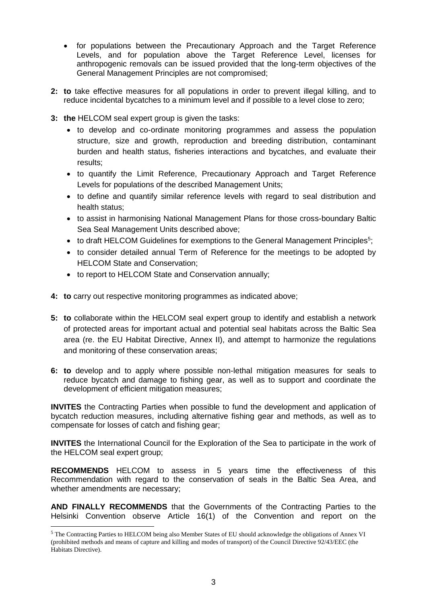- for populations between the Precautionary Approach and the Target Reference Levels, and for population above the Target Reference Level, licenses for anthropogenic removals can be issued provided that the long-term objectives of the General Management Principles are not compromised;
- **2: to** take effective measures for all populations in order to prevent illegal killing, and to reduce incidental bycatches to a minimum level and if possible to a level close to zero;
- **3: the** HELCOM seal expert group is given the tasks:
	- to develop and co-ordinate monitoring programmes and assess the population structure, size and growth, reproduction and breeding distribution, contaminant burden and health status, fisheries interactions and bycatches, and evaluate their results;
	- to quantify the Limit Reference, Precautionary Approach and Target Reference Levels for populations of the described Management Units;
	- to define and quantify similar reference levels with regard to seal distribution and health status;
	- to assist in harmonising National Management Plans for those cross-boundary Baltic Sea Seal Management Units described above;
	- $\bullet$  to draft HELCOM Guidelines for exemptions to the General Management Principles<sup>5</sup>;
	- to consider detailed annual Term of Reference for the meetings to be adopted by HELCOM State and Conservation;
	- to report to HELCOM State and Conservation annually;
- **4: to** carry out respective monitoring programmes as indicated above;
- **5: to** collaborate within the HELCOM seal expert group to identify and establish a network of protected areas for important actual and potential seal habitats across the Baltic Sea area (re. the EU Habitat Directive, Annex II), and attempt to harmonize the regulations and monitoring of these conservation areas;
- **6: to** develop and to apply where possible non-lethal mitigation measures for seals to reduce bycatch and damage to fishing gear, as well as to support and coordinate the development of efficient mitigation measures;

**INVITES** the Contracting Parties when possible to fund the development and application of bycatch reduction measures, including alternative fishing gear and methods, as well as to compensate for losses of catch and fishing gear;

**INVITES** the International Council for the Exploration of the Sea to participate in the work of the HELCOM seal expert group;

**RECOMMENDS** HELCOM to assess in 5 years time the effectiveness of this Recommendation with regard to the conservation of seals in the Baltic Sea Area, and whether amendments are necessary;

**AND FINALLY RECOMMENDS** that the Governments of the Contracting Parties to the Helsinki Convention observe Article 16(1) of the Convention and report on the

<sup>5</sup> The Contracting Parties to HELCOM being also Member States of EU should acknowledge the obligations of Annex VI (prohibited methods and means of capture and killing and modes of transport) of the Council Directive 92/43/EEC (the Habitats Directive).